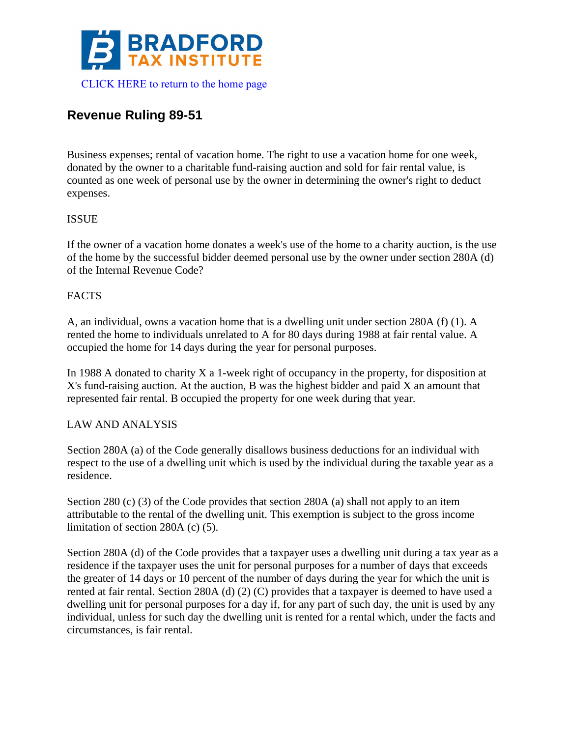

# **Revenue Ruling 89-51**

Business expenses; rental of vacation home. The right to use a vacation home for one week, donated by the owner to a charitable fund-raising auction and sold for fair rental value, is counted as one week of personal use by the owner in determining the owner's right to deduct expenses.

### ISSUE

If the owner of a vacation home donates a week's use of the home to a charity auction, is the use of the home by the successful bidder deemed personal use by the owner under section 280A (d) of the Internal Revenue Code?

#### FACTS

A, an individual, owns a vacation home that is a dwelling unit under section 280A (f) (1). A rented the home to individuals unrelated to A for 80 days during 1988 at fair rental value. A occupied the home for 14 days during the year for personal purposes.

In 1988 A donated to charity X a 1-week right of occupancy in the property, for disposition at X's fund-raising auction. At the auction, B was the highest bidder and paid X an amount that represented fair rental. B occupied the property for one week during that year.

#### LAW AND ANALYSIS

Section 280A (a) of the Code generally disallows business deductions for an individual with respect to the use of a dwelling unit which is used by the individual during the taxable year as a residence.

Section 280 (c) (3) of the Code provides that section 280A (a) shall not apply to an item attributable to the rental of the dwelling unit. This exemption is subject to the gross income limitation of section 280A (c) (5).

Section 280A (d) of the Code provides that a taxpayer uses a dwelling unit during a tax year as a residence if the taxpayer uses the unit for personal purposes for a number of days that exceeds the greater of 14 days or 10 percent of the number of days during the year for which the unit is rented at fair rental. Section 280A (d) (2) (C) provides that a taxpayer is deemed to have used a dwelling unit for personal purposes for a day if, for any part of such day, the unit is used by any individual, unless for such day the dwelling unit is rented for a rental which, under the facts and circumstances, is fair rental.